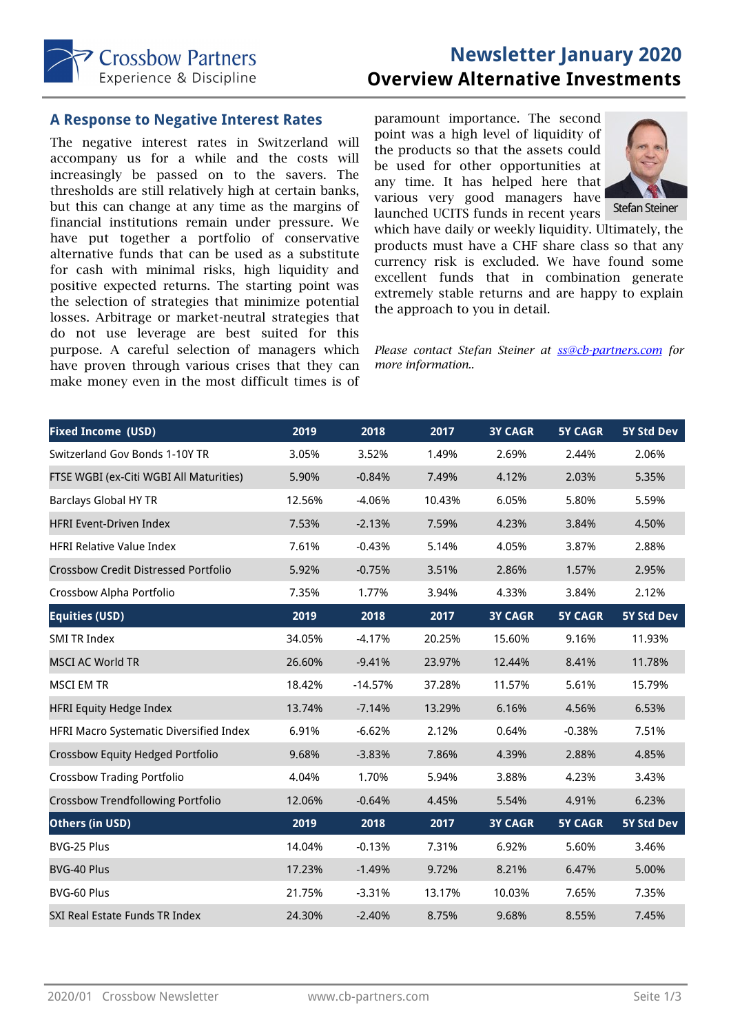

# **Newsletter January 2020 Overview Alternative Investments**

#### **A Response to Negative Interest Rates**

The negative interest rates in Switzerland will accompany us for a while and the costs will increasingly be passed on to the savers. The thresholds are still relatively high at certain banks, but this can change at any time as the margins of financial institutions remain under pressure. We have put together a portfolio of conservative alternative funds that can be used as a substitute for cash with minimal risks, high liquidity and positive expected returns. The starting point was the selection of strategies that minimize potential losses. Arbitrage or market-neutral strategies that do not use leverage are best suited for this purpose. A careful selection of managers which have proven through various crises that they can make money even in the most difficult times is of paramount importance. The second point was a high level of liquidity of the products so that the assets could be used for other opportunities at any time. It has helped here that various very good managers have launched UCITS funds in recent years



which have daily or weekly liquidity. Ultimately, the products must have a CHF share class so that any currency risk is excluded. We have found some excellent funds that in combination generate extremely stable returns and are happy to explain the approach to you in detail.

*Please contact Stefan Steiner at ss@cb-partners.com for more information..*

| <b>Fixed Income (USD)</b>                   | 2019   | 2018      | 2017   | <b>3Y CAGR</b> | <b>5Y CAGR</b> | 5Y Std Dev |
|---------------------------------------------|--------|-----------|--------|----------------|----------------|------------|
| Switzerland Gov Bonds 1-10Y TR              | 3.05%  | 3.52%     | 1.49%  | 2.69%          | 2.44%          | 2.06%      |
| FTSE WGBI (ex-Citi WGBI All Maturities)     | 5.90%  | $-0.84%$  | 7.49%  | 4.12%          | 2.03%          | 5.35%      |
| <b>Barclays Global HY TR</b>                | 12.56% | $-4.06%$  | 10.43% | 6.05%          | 5.80%          | 5.59%      |
| <b>HFRI Event-Driven Index</b>              | 7.53%  | $-2.13%$  | 7.59%  | 4.23%          | 3.84%          | 4.50%      |
| <b>HFRI Relative Value Index</b>            | 7.61%  | $-0.43%$  | 5.14%  | 4.05%          | 3.87%          | 2.88%      |
| <b>Crossbow Credit Distressed Portfolio</b> | 5.92%  | $-0.75%$  | 3.51%  | 2.86%          | 1.57%          | 2.95%      |
| Crossbow Alpha Portfolio                    | 7.35%  | 1.77%     | 3.94%  | 4.33%          | 3.84%          | 2.12%      |
| <b>Equities (USD)</b>                       | 2019   | 2018      | 2017   | <b>3Y CAGR</b> | <b>5Y CAGR</b> | 5Y Std Dev |
| <b>SMI TR Index</b>                         | 34.05% | $-4.17%$  | 20.25% | 15.60%         | 9.16%          | 11.93%     |
| <b>MSCI AC World TR</b>                     | 26.60% | $-9.41%$  | 23.97% | 12.44%         | 8.41%          | 11.78%     |
| <b>MSCI EM TR</b>                           | 18.42% | $-14.57%$ | 37.28% | 11.57%         | 5.61%          | 15.79%     |
| <b>HFRI Equity Hedge Index</b>              | 13.74% | $-7.14%$  | 13.29% | 6.16%          | 4.56%          | 6.53%      |
| HFRI Macro Systematic Diversified Index     | 6.91%  | $-6.62%$  | 2.12%  | 0.64%          | $-0.38%$       | 7.51%      |
| Crossbow Equity Hedged Portfolio            | 9.68%  | $-3.83%$  | 7.86%  | 4.39%          | 2.88%          | 4.85%      |
| <b>Crossbow Trading Portfolio</b>           | 4.04%  | 1.70%     | 5.94%  | 3.88%          | 4.23%          | 3.43%      |
| <b>Crossbow Trendfollowing Portfolio</b>    | 12.06% | $-0.64%$  | 4.45%  | 5.54%          | 4.91%          | 6.23%      |
| <b>Others (in USD)</b>                      | 2019   | 2018      | 2017   | <b>3Y CAGR</b> | <b>5Y CAGR</b> | 5Y Std Dev |
| BVG-25 Plus                                 | 14.04% | $-0.13%$  | 7.31%  | 6.92%          | 5.60%          | 3.46%      |
| BVG-40 Plus                                 | 17.23% | $-1.49%$  | 9.72%  | 8.21%          | 6.47%          | 5.00%      |
| BVG-60 Plus                                 | 21.75% | $-3.31%$  | 13.17% | 10.03%         | 7.65%          | 7.35%      |
| <b>SXI Real Estate Funds TR Index</b>       | 24.30% | $-2.40%$  | 8.75%  | 9.68%          | 8.55%          | 7.45%      |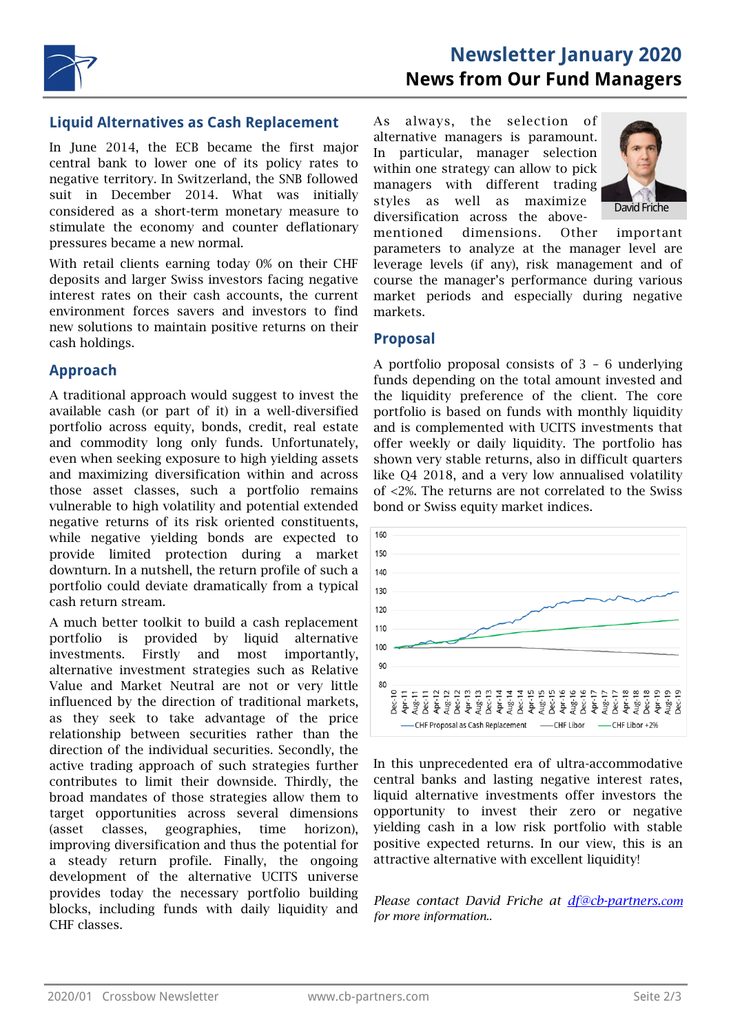

### **Liquid Alternatives as Cash Replacement**

In June 2014, the ECB became the first major central bank to lower one of its policy rates to negative territory. In Switzerland, the SNB followed suit in December 2014. What was initially considered as a short-term monetary measure to stimulate the economy and counter deflationary pressures became a new normal.

With retail clients earning today 0% on their CHF deposits and larger Swiss investors facing negative interest rates on their cash accounts, the current environment forces savers and investors to find new solutions to maintain positive returns on their cash holdings.

# **Approach**

A traditional approach would suggest to invest the available cash (or part of it) in a well-diversified portfolio across equity, bonds, credit, real estate and commodity long only funds. Unfortunately, even when seeking exposure to high yielding assets and maximizing diversification within and across those asset classes, such a portfolio remains vulnerable to high volatility and potential extended negative returns of its risk oriented constituents, while negative yielding bonds are expected to provide limited protection during a market downturn. In a nutshell, the return profile of such a portfolio could deviate dramatically from a typical cash return stream.

A much better toolkit to build a cash replacement portfolio is provided by liquid alternative investments. Firstly and most importantly, alternative investment strategies such as Relative Value and Market Neutral are not or very little influenced by the direction of traditional markets, as they seek to take advantage of the price relationship between securities rather than the direction of the individual securities. Secondly, the active trading approach of such strategies further contributes to limit their downside. Thirdly, the broad mandates of those strategies allow them to target opportunities across several dimensions (asset classes, geographies, time horizon), improving diversification and thus the potential for a steady return profile. Finally, the ongoing development of the alternative UCITS universe provides today the necessary portfolio building blocks, including funds with daily liquidity and CHF classes.

As always, the selection of alternative managers is paramount. In particular, manager selection within one strategy can allow to pick managers with different trading styles as well as maximize diversification across the above-



mentioned dimensions. Other important parameters to analyze at the manager level are leverage levels (if any), risk management and of course the manager's performance during various market periods and especially during negative markets.

#### **Proposal**

A portfolio proposal consists of 3 – 6 underlying funds depending on the total amount invested and the liquidity preference of the client. The core portfolio is based on funds with monthly liquidity and is complemented with UCITS investments that offer weekly or daily liquidity. The portfolio has shown very stable returns, also in difficult quarters like Q4 2018, and a very low annualised volatility of <2%. The returns are not correlated to the Swiss bond or Swiss equity market indices.



In this unprecedented era of ultra-accommodative central banks and lasting negative interest rates, liquid alternative investments offer investors the opportunity to invest their zero or negative yielding cash in a low risk portfolio with stable positive expected returns. In our view, this is an attractive alternative with excellent liquidity!

*Please contact David Friche at df@cb-partners.com for more information..*